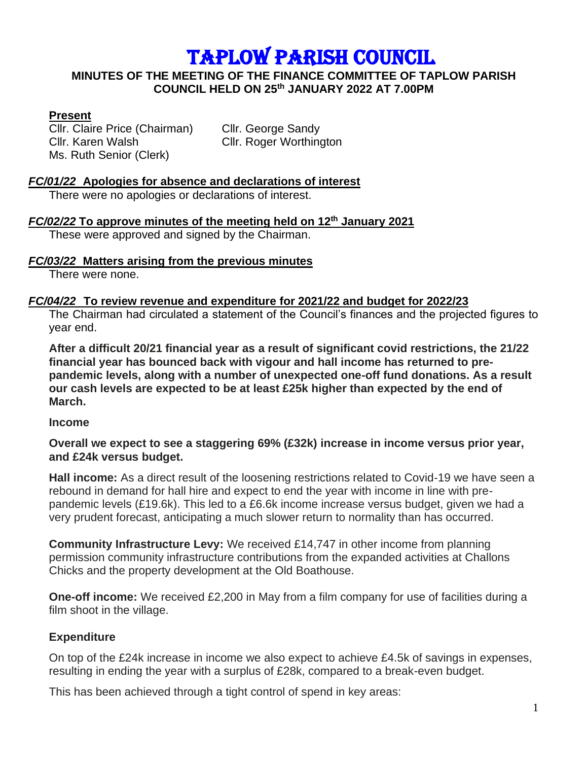# TAPLOW PARISH COUNCIL

#### **MINUTES OF THE MEETING OF THE FINANCE COMMITTEE OF TAPLOW PARISH COUNCIL HELD ON 25th JANUARY 2022 AT 7.00PM**

# **Present**

Cllr. Claire Price (Chairman) Cllr. George Sandy Cllr. Karen Walsh Cllr. Roger Worthington Ms. Ruth Senior (Clerk)

# *FC/01/22* **Apologies for absence and declarations of interest**

There were no apologies or declarations of interest.

# *FC/02/22* **To approve minutes of the meeting held on 12 th January 2021**

These were approved and signed by the Chairman.

#### *FC/03/22* **Matters arising from the previous minutes**

There were none.

#### *FC/04/22* **To review revenue and expenditure for 2021/22 and budget for 2022/23**

The Chairman had circulated a statement of the Council's finances and the projected figures to year end.

**After a difficult 20/21 financial year as a result of significant covid restrictions, the 21/22 financial year has bounced back with vigour and hall income has returned to prepandemic levels, along with a number of unexpected one-off fund donations. As a result our cash levels are expected to be at least £25k higher than expected by the end of March.**

#### **Income**

#### **Overall we expect to see a staggering 69% (£32k) increase in income versus prior year, and £24k versus budget.**

**Hall income:** As a direct result of the loosening restrictions related to Covid-19 we have seen a rebound in demand for hall hire and expect to end the year with income in line with prepandemic levels (£19.6k). This led to a £6.6k income increase versus budget, given we had a very prudent forecast, anticipating a much slower return to normality than has occurred.

**Community Infrastructure Levy:** We received £14,747 in other income from planning permission community infrastructure contributions from the expanded activities at Challons Chicks and the property development at the Old Boathouse.

**One-off income:** We received £2,200 in May from a film company for use of facilities during a film shoot in the village.

# **Expenditure**

On top of the £24k increase in income we also expect to achieve £4.5k of savings in expenses, resulting in ending the year with a surplus of £28k, compared to a break-even budget.

This has been achieved through a tight control of spend in key areas: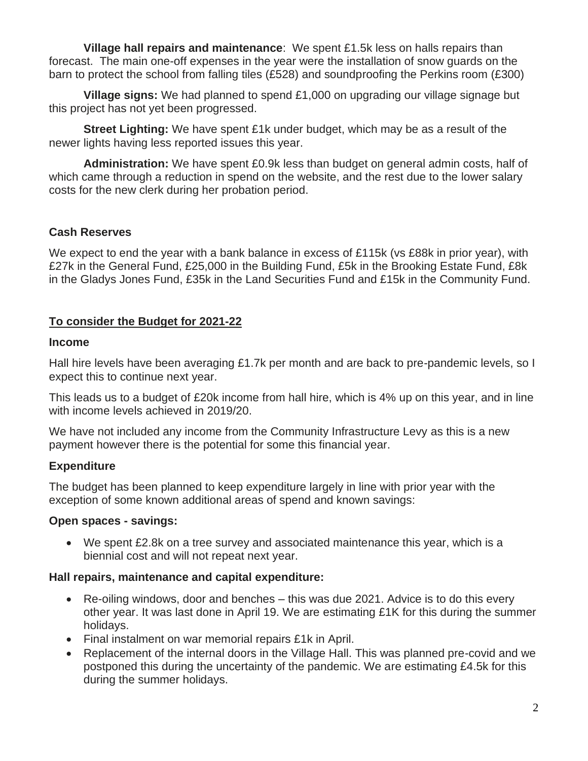**Village hall repairs and maintenance**: We spent £1.5k less on halls repairs than forecast. The main one-off expenses in the year were the installation of snow guards on the barn to protect the school from falling tiles (£528) and soundproofing the Perkins room (£300)

**Village signs:** We had planned to spend £1,000 on upgrading our village signage but this project has not yet been progressed.

**Street Lighting:** We have spent £1k under budget, which may be as a result of the newer lights having less reported issues this year.

**Administration:** We have spent £0.9k less than budget on general admin costs, half of which came through a reduction in spend on the website, and the rest due to the lower salary costs for the new clerk during her probation period.

# **Cash Reserves**

We expect to end the year with a bank balance in excess of £115k (vs £88k in prior year), with £27k in the General Fund, £25,000 in the Building Fund, £5k in the Brooking Estate Fund, £8k in the Gladys Jones Fund, £35k in the Land Securities Fund and £15k in the Community Fund.

# **To consider the Budget for 2021-22**

#### **Income**

Hall hire levels have been averaging £1.7k per month and are back to pre-pandemic levels, so I expect this to continue next year.

This leads us to a budget of £20k income from hall hire, which is 4% up on this year, and in line with income levels achieved in 2019/20.

We have not included any income from the Community Infrastructure Levy as this is a new payment however there is the potential for some this financial year.

# **Expenditure**

The budget has been planned to keep expenditure largely in line with prior year with the exception of some known additional areas of spend and known savings:

#### **Open spaces - savings:**

• We spent £2.8k on a tree survey and associated maintenance this year, which is a biennial cost and will not repeat next year.

#### **Hall repairs, maintenance and capital expenditure:**

- Re-oiling windows, door and benches this was due 2021. Advice is to do this every other year. It was last done in April 19. We are estimating £1K for this during the summer holidays.
- Final instalment on war memorial repairs £1k in April.
- Replacement of the internal doors in the Village Hall. This was planned pre-covid and we postponed this during the uncertainty of the pandemic. We are estimating £4.5k for this during the summer holidays.